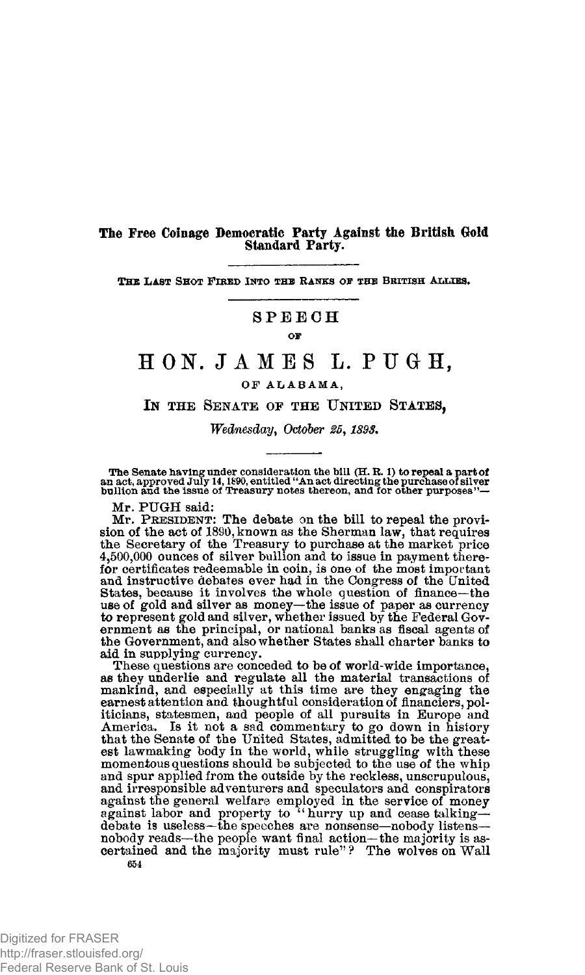## **The Free Coinage Democratic Party Against the British Gold Standard Party.**

THE LAST SHOT FIRED INTO THE RANKS OF THE BRITISH ALLIES.

## **SPEEC H**

#### **OF**

# **HON . JAME S L. PUGH ,**

### **O F ALABAMA ,**

**IN THE SENATE OF THE UNITED STATES,** 

*Wednesday, October 25,1898.* 

The Senate having under consideration the bill (H. R. 1) to repeal a part of<br>an act, approved July 14, 1890, entitled "An act directing the purchase of silver<br>bullion and the issue of Treasury notes thereon, and for other

**Mr. PUGH said:** 

**Mr. PRESIDENT: The debate on the bill to repeal the provi-sion of the act of 1890, known as the Sherman law, that requires the Secretary of the Treasury to purchase at the market price 4,500,000 ounces of silver bullion and to issue in payment therefor certificates redeemable in coin, is one of the most important and instructive debates ever had in the Congress of the United**  States, because it involves the whole question of finance—the use of gold and silver as money—the issue of paper as currency to represent gold and silver, whether issued by the Federal Government as the principal, or natio **the Government, and also whether States shall charter banks to aid in supplying currency.** 

**These questions are conceded to be of world-wide importance, as they underlie and regulate all the material transactions of**  mankind, and especially at this time are they engaging the earnest attention and thoughtful consideration of financiers, politicians, statesmen, and people of all pursuits in Europe and America. Is it not a sad commentary **est lawmaking body in the world, while struggling with these momentous questions should be subjected to the use of the whip and spur applied from the outside by the reckless, unscrupulous, and irresponsible adventurers and speculators and conspirators**  against the general welfare employed in the service of money<br>against labor and property to "hurry up and cease talking—<br>debate is useless—the specches are nonsense—nobody listens—<br>nobody reads—the people want final action— **654**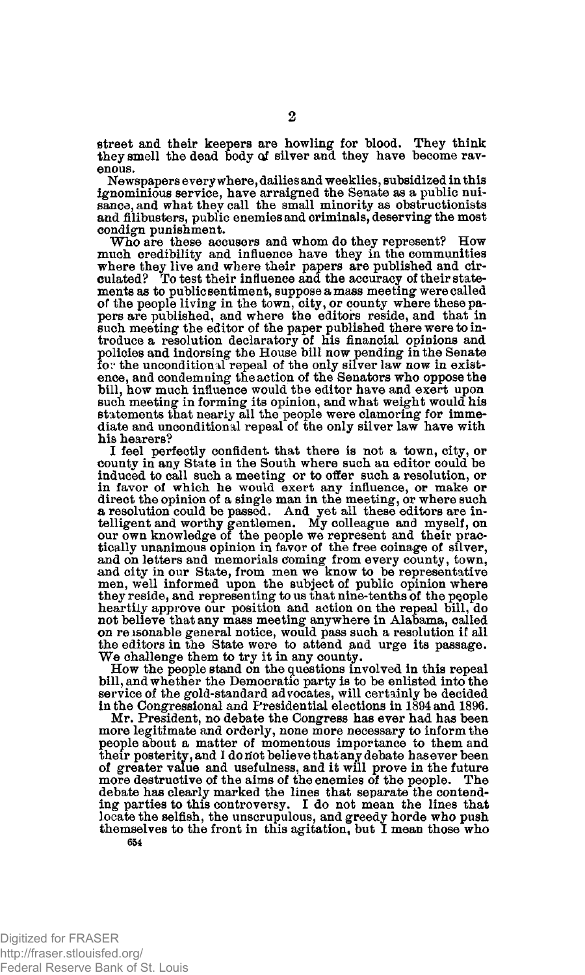**street and their keepers are howling for blood. They think**  they smell the dead body of silver and they have become rav**enous.** 

**Newspapers every where, dailies and weeklies, subsidized in this ignominious service, have arraigned the Senate as a public nuisance, and what they call the small minority as obstructionists and filibusters, public enemies and criminals, deserving the most condign punishment.** 

**Who are these accusers and whom do they represent? How much credibility and influence have they in the communities where they live and where their papers are published and cir-culated? To test their influence and the accuracy of their statements as to public sentiment, suppose a mass meeting were called of the people living in the town, city, or county where these pa-pers are published, and where the editors reside, and that in such meeting the editor of the paper published there were to introduce a resolution declaratory of his financial opinions and policies and indorsing the House bill now pending in the Senate for the unconditional repeal of the only silver law now in existence, and condemning the action of the Senators who oppose the**  bill, how much influence would the editor have and exert upon<br>such meeting in forming its opinion, and what weight would his<br>statements that nearly all the people were clamoring for imme-<br>diate and unconditional repeal of **his hearers?** 

**I feel perfectly confident that there is not a town, city, or county in any State in the South where such an editor could be induced to call such a meeting or to offer such a resolution, or in favor of which he would exert any influence, or make or direct the opinion of a single man in the meeting, or where such a resolution could be passed. And yet all these editors are intelligent and worthy gentlemen. My colleague and myself, on our own knowledge of the people we represent and their practically unanimous opinion in favor of the free coinage of silver,**  and on letters and memorials coming from every county, town, and city in our State, from men we know to be representative men, well informed upon the subject of public opinion where they reside, and representing to us that **heartily approve our position and action on the repeal bill, do not believe that any mass meeting anywhere in Alabama, called on reasonable general notice, would pass such a resolution if all the editors in the State were to attend jand urge its passage. We challenge them to try it in any county.** 

**How the people stand on the questions involved in this repeal bill, and whether the Democratic party is to be enlisted into the**  service of the gold-standard advocates, will certainly be decided **in the Congressional and Presidential elections in 1894 and 1896.** 

**Mr. President, no debate the Congress has ever had has been more legitimate and orderly, none more necessary to inform the people about a matter of momentous importance to them and their posterity, and I do not believe that any debate has ever been of greater value and usefulness, and it will prove in the future more destructive of the aims of the enemies of the people. The debate has clearly marked the lines that separate the contending parties to this controversy. I do not mean the lines that locate the selfish, the unscrupulous, and greedy horde who push themselves to the front in this agitation, but I mean those who 654**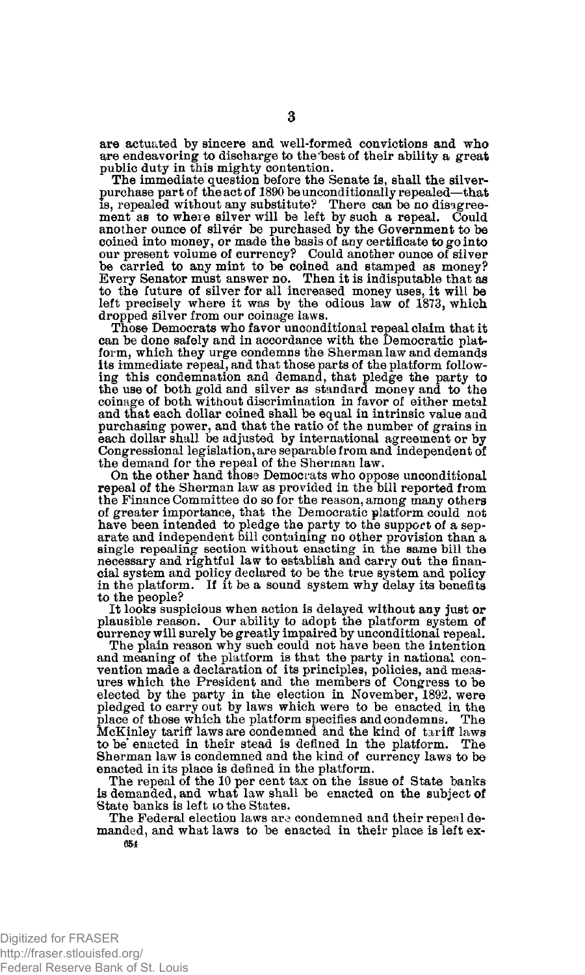**are actuated by sincere and well-formed convictions and who are endeavoring to discharge to the'best of their ability a great** 

**public duty in this mighty contention. The immediate question before the Senate is, shall the silverpurchase part of the act of 1890 be unconditionally repealed—that is, repealed without any substitute? There can be no disagreement as to where silver will be left by such a repeal. Could another ounce of silver be purchased by the Government to be coined into money, or made the basis of any certificate to go into our present volume of currency? Could another ounce of silver be carried to any mint to be coined and stamped as money? Every Senator must answer no. Then it is indisputable that as to the future of silver for all increased money uses, it will be left precisely where it was by the odious law of 1873, which dropped silver from our coinage laws.** 

**Those Democrats who favor unconditional repeal claim that it can be done safely and in accordance with the Democratic platform, which they urge condemns the Sherman law and demands its immediate repeal, and that those parts of the platform following this condemnation and demand, that pledge the party to the use of both gold and silver as standard money and to the coinage of both without discrimination in favor of either metal and that each dollar coined shall be equal in intrinsic value and purchasing power, and that the ratio of the number of grains in each dollar shall be adjusted by international agreement or by Congressional legislation, are separable from and independent of the demand for the repeal of the Sherman law.** 

**On the other hand those Democrats who oppose unconditional repeal of the Sherman law as provided in the bill reported from the Finance Committee do so for the reason, among many others of greater importance, that the Democratic platform could not have been intended to pledge the party to the support of a separate and independent bill containing no other provision than a single repealing section without enacting in the same bill the necessary and rightful law to establish and carry out the financial system and policy declared to be the true system and policy**  If it be a sound system why delay its benefits **to the people?** 

**It looks suspicious when action is delayed without any just or plausible reason. Our ability to adopt the platform system of currency will surely be greatly impaired by unconditional repeal.** 

**The plain reason why such could not have been the intention and meaning of the platform is that the party in national convention made a declaration of its principles, policies, and measures which the President and the members of Congress to be elected by the party in the election in November, 1892, were pledged to carry out by laws which were to be enacted in the place of those which the platform specifies and condemns. The McKinley tariff laws are condemned and the kind of tariff laws**  to be enacted in their stead is defined in the platform. The **Sherman law is condemned and the kind of currency laws to be enacted in its place is defined in the platform.** 

**The repeal of the 10 per cent tax on the issue of State banks is demanded, and what law shall be enacted on the subject of State banks is left to the States.** 

**The Federal election laws are condemned and their repeal demanded, and what laws to be enacted in their place is left ex-654**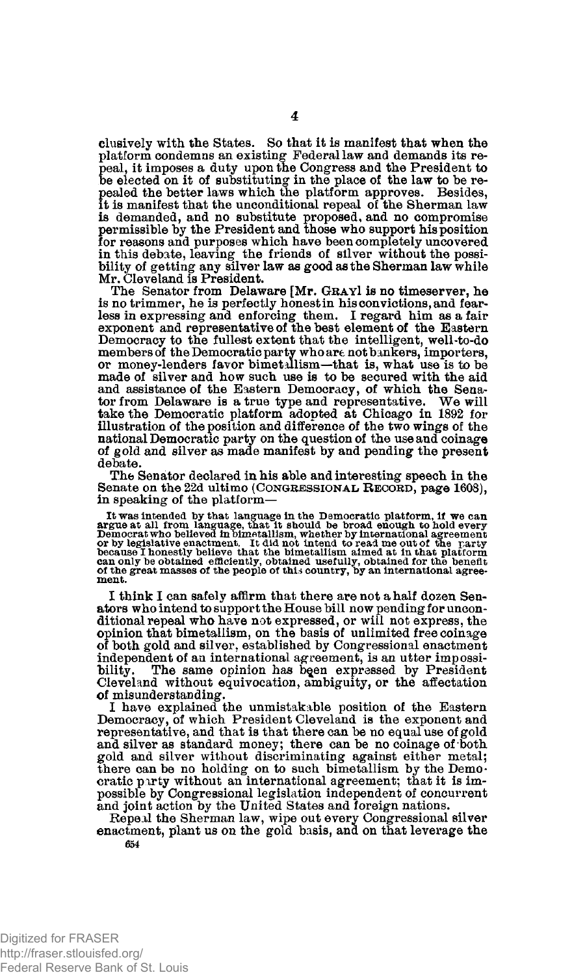**clusively with the States. So that it is manifest that when the platform condemns an existing Federal law and demands its repeal, it imposes a duty upon the Congress and the President to he elected on it of substituting in the place of the law to be repealed the better laws which the platform approves. Besides, it is manifest that the unconditional repeal of the Sherman law is demanded, and no substitute proposed, and no compromise permissible by the President and those who support his position for reasons and purposes which have been completely uncovered in this debate, leaving the friends of silver without the possi-bility of getting any silver law as good as the Sherman law while Mr. Cleveland is President.** 

**The Senator from Delaware [Mr. GRAYI is no timeserver, he is no trimmer, he is perfectly honest in his convictions, and fearless in expressing and enforcing them. I regard him as a fair exponent and representative of the best element of the Eastern Democracy to the fullest extent that the intelligent, well-to-do members of the Democratic party who are not bankers, importers, or money-lenders favor bimetallism—that is, what use is to be made of silver and how such use is to be secured with the aid and assistance of the Eastern Democracy, of which the Senator from Delaware is a true type and representative. We will take the Democratic platform adopted at Chicago in 1892 for illustration of the position and difference of the two wings of the national Democratic party on the question of the use and coinage of gold and silver as made manifest by and pending the present debate.** 

**The Senator declared in his able and interesting speech in the Senate on the 22d ultimo (CONGRESSIONAL. RECORD, page 1608), in speaking of the platform—** 

It was intended by that language in the Democratic platform, if we can<br>argue at all from language, that it should be broad enough to hold every<br>Democrat who believed in bimetallism, whether by international agreement<br>or by

**I think I can safely affirm that there are not a half dozen Senators who intend to support the House bill now pending for unconditional repeal who have not expressed, or will not express, the opinion that bimetallism, on the basis of unlimited free coinage of both gold and silver, established by Congressional enactment independent of an international agreement, is an utter impossi-**The same opinion has been expressed by President **Cleveland without equivocation, ambiguity, or the affectation of misunderstanding.** 

**I have explained the unmistakable position of the Eastern Democracy, of which President Cleveland is the exponent and representative, and that is that there can be no equal use of gold and silver as standard money; there can be no coinage of both gold and silver without discriminating against either metal; there can be no holding on to such bimetallism by the Democratic party without an international agreement; that it is impossible by Congressional legislation independent of concurrent and joint action by the United States and foreign nations.** 

**Repeal the Sherman law, wipe out every Congressional silver enactment, plant us on the gold basis, and on that leverage the 654**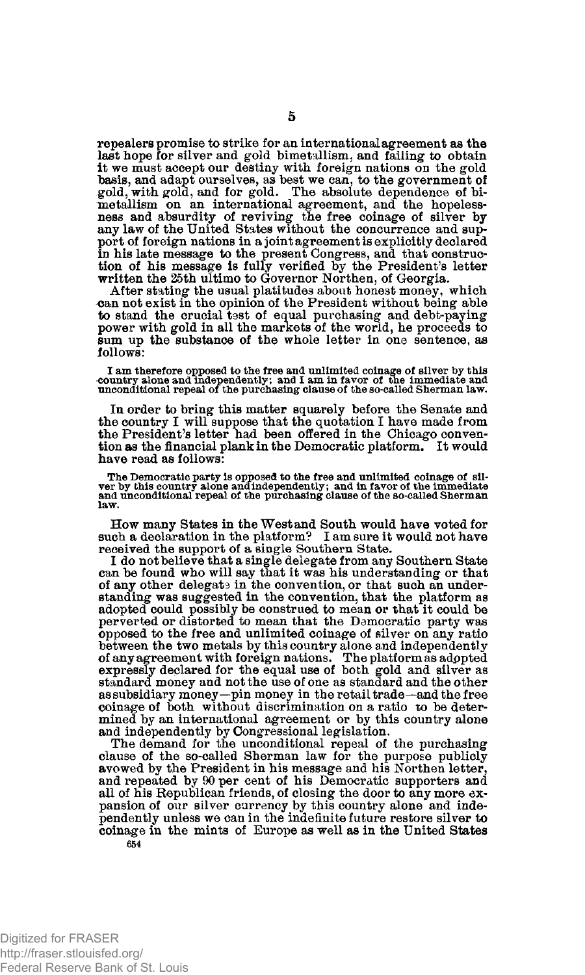**repealers promise to strike for an international agreement as the last hope for silver and gold bimetallism, and failing to obtain it we must accept our destiny with foreign nations on the gold basis, and adapt ourselves, as best we can, to the government of gold, with gold, and for gold. The absolute dependence of bimetallism on an international agreement, and the hopelessness and absurdity of reviving the free coinage of silver by any law of the United States without the concurrence and sup**port of foreign nations in a joint agreement is explicitly declared<br>in his late message to the present Congress, and that construc-<br>tion of his message is fully verified by the President's letter<br>written the 25th ultimo to

**After stating the usual platitudes about honest money, which can not exist in the opinion of the President without being able to stand the crucial test of equal purchasing and debt-paying power with gold in all the markets of the world, he proceeds to sum up the substance of the whole letter in one sentence, as follows:** 

I am therefore opposed to the free and unlimited coinage of silver by this<br>country alone and independently; and I am in favor of the immediate and<br>unconditional repeal of the purchasing clause of the so-called Sherman law.

**In order to bring this matter squarely before the Senate and the country I will suppose that the quotation I have made from the President's letter had been offered in the Chicago convention as the financial plank in the Democratic platform. It would have read as follows:** 

The Democratic party is opposed to the free and unlimited coinage of silver by this country alone and independently; and in favor by the immediate<br>wer by this country alone and independently; and in favor of the immediate<br> **law.** 

**How many States in the West and South would have voted for such a declaration in the platform? I am sure it would not have received the support of a single Southern State.** 

**I do not believe that a single delegate from any Southern State can be found who will say that it was his understanding or that of any other delegate in the convention, or that such an under-standing was suggested in the convention, that the platform as adopted could possibly be construed to mean or that it could be perverted or distorted to mean that the Democratic party was opposed to the free and unlimited coinage of silver on any ratio between the two metals by this country alone and independently of any agreement with foreign nations. The platform as adppted expressly declared for the equal use of both gold and silver as standard money and not the use of one as standard and the other as subsidiary money—pin money in the retail trade—and the free coinage of both without discrimination on a ratio to be determined by an international agreement or by this country alone and independently by Congressional legislation.** 

**The demand for the unconditional repeal of the purchasing clause of the so-called Sherman law for the purpose publicly avowed by the President in his message and his Northen letter, and repeated by 90 per cent of his Democratic supporters and all of his Republican friends, of closing the door to any more expansion of our silver currency by this country alone and inde-pendently unless we can in the indefinite future restore silver to coinage in the mints of Europe as well as in the United States 654**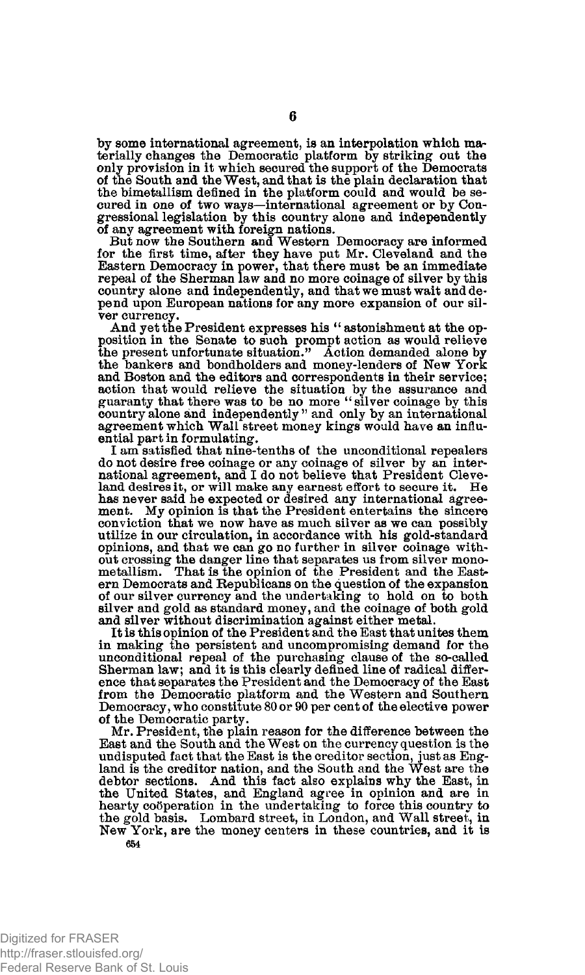**by some international agreement, is an interpolation which materially changes the Democratic platform by striking out the only provision in it which secured the support of the Democrats of the South and the West, and that is the plain declaration that the bimetallism defined in the platform could and would be secured in one of two ways—international agreement or by Congressional legislation by this country alone and independently of any agreement with foreign nations.** 

**But now the Southern and Western Democracy are informed for the first time, after they have put Mr. Cleveland and the Eastern Democracy in power, that there must be an immediate repeal of the Sherman law and no more coinage of silver by this country alone and independently, and that we must wait and depend upon European nations for any more expansion of our silver currency.** 

**And yet the President expresses his " astonishment at the opposition in the Senate to such prompt action as would relieve the present unfortunate situation." Action demanded alone by the bankers and bondholders and money-lenders of New York and Boston and the editors and correspondents in their service; action that would relieve the situation by the assurance and guaranty that there was to be no more " silver coinage by this country alone and independently " and only by an international agreement which Wall street money kings would have an influential part in formulating.** 

**I am satisfied that nine-tenths of the unconditional repealers do not desire free coinage or any coinage of silver by an international agreement, and I do not believe that President Cleve-land desires it, or will make any earnest effort to secure it. He has never said he expected or desired any international agreement. My opinion is that the President entertains the sincere conviction that we now have as much silver as we can possibly utilize in our circulation, in accordance with his gold-standard opinions, and that we can go no further in silver coinage without crossing the danger line that separates us from silver mono-metallism. That is the opinion of the President and the East-ern Democrats and Republicans on the question of the expansion of our silver currency and the undertaking to hold on to both silver and gold as standard money, and the coinage of both gold and silver without discrimination against either metal.** 

**It is this opinion of the President and the East that unites them in making the persistent and uncompromising demand for the unconditional repeal of the purchasing clause of the so-called Sherman law; and it is this clearly defined line of radical difference that separates the President and the Democracy of the East from the Democratic platform and the Western and Southern Democracy, who constitute 80 or 90 per cent of the elective power of the Democratic party.** 

**Mr. President, the plain reason for the difference between the East and the South and the West on the currency question is the undisputed fact that the East is the creditor section, just as Eng-land is the creditor nation, and the South and the West are the debtor sections. And this fact also explains why the East, in the United States, and England agree in opinion and are in hearty cooperation in the undertaking to force this country to the gold basis. Lombard street, in London, and Wall street, in New York, are the money centers in these countries, and it is 654**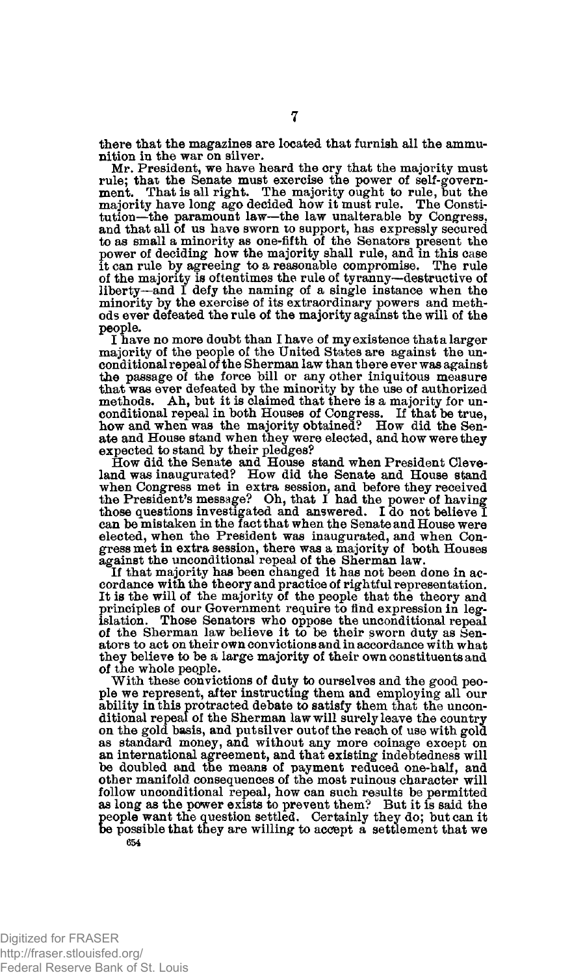**there that the magazines are located that furnish all the ammunition in the war on silver.** 

**Mr. President, we have heard the cry that the majority must rule; thai the Senate must exercise the power of self-government. That is all right. The majority ought to rule, but the majority have long ago decided how it must rule. The Constitution—the paramount law—the law unalterable by Congress, and that all of us have sworn to support, has expressly secured**  to as small a minority as one-fifth of the Senators present the power of deciding how the majority shall rule, and in this case it can rule by agreeing to a reasonable compromise. The rule of the majority is often the soft **liberty—and I defy the naming of a single instance when the minority by the exercise of its extraordinary powers and methods ever defeated the rule of the majority against the will of the people.** 

I have no more doubt than I have of my existence that a larger **majority of the people of the United States are against the unconditional repeal of the Sherman law than there ever was against the passage of the force bill or any other iniquitous measure that was ever defeated by the minority by the use of authorized methods. Ah, but it is claimed that there is a majority for unconditional repeal in both Houses of Congress. If that be true, how and when was the majority obtained? How did the Senate and House stand when they were elected, and how were they expected to stand by their pledges?** 

**How did the Senate and House stand when President Cleve-land was inaugurated? How did the Senate and House stand when Congress met in extra session, and before they received the President's message? Oh, that I had the power of having those questions investigated and answered. I do not believe I can be mistaken in the fact that when the Senate and House were elected, when the President was inaugurated, and when Congress met in extra session, there was a majority of both Houses against the unconditional repeal of the Sherman law.** 

**If that majority has been changed it has not been done in ac-cordance with the theory and practice of rightful representation. It is the will of the majority of the people that the theory and principles of our Government require to find expression in legislation. Those Senators who oppose the unconditional repeal of the Sherman law believe it to be their sworn duty as Senators to act on their own convictions and in accordance with what they believe to be a large majority of their own constituents and of the whole people.** 

**With these convictions of duty to ourselves and the good people we represent, after instructing them and employing all our ability in this protracted debate to satisfy them that the unconditional repeal of the Sherman law will surely leave the country on the gold basis, and put silver out of the reach of use with gold as standard money, and without any more coinage except on an international agreement, and that existing indebtedness will be doubled and the means of payment reduced one-half, and other manifold consequences of the most ruinous character will follow unconditional repeal, how can such results be permitted as long as the power exists to prevent them? But it is said the people want the question settled. Certainly they do; but can it be possible that they are willing to accept a settlement that we 654**